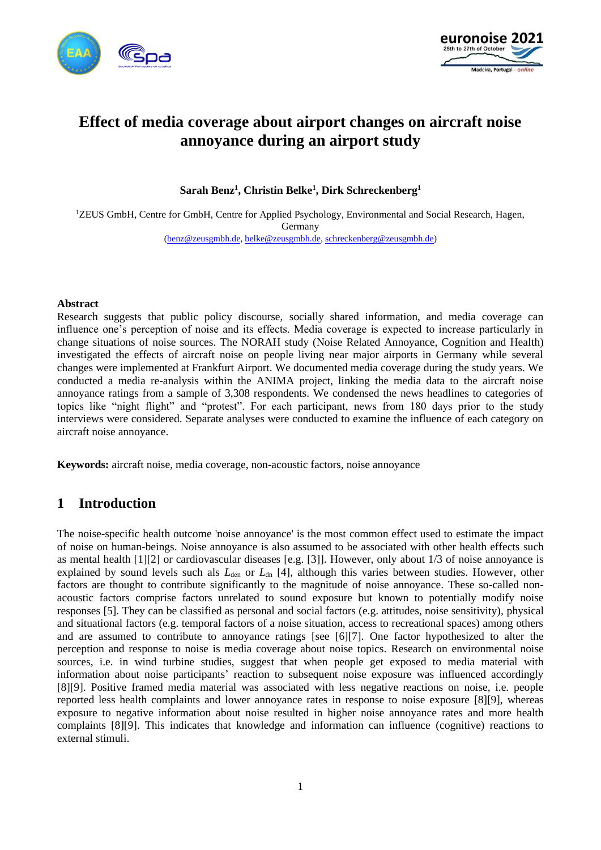



# **Effect of media coverage about airport changes on aircraft noise annoyance during an airport study**

**Sarah Benz<sup>1</sup> , Christin Belke<sup>1</sup> , Dirk Schreckenberg<sup>1</sup>**

<sup>1</sup>ZEUS GmbH, Centre for GmbH, Centre for Applied Psychology, Environmental and Social Research, Hagen, Germany [\(benz@zeusgmbh.de,](mailto:benz@zeusgmbh.de) [belke@zeusgmbh.de,](mailto:belke@zeusgmbh.de) [schreckenberg@zeusgmbh.de\)](mailto:schreckenberg@zeusgmbh.de)

#### **Abstract**

Research suggests that public policy discourse, socially shared information, and media coverage can influence one's perception of noise and its effects. Media coverage is expected to increase particularly in change situations of noise sources. The NORAH study (Noise Related Annoyance, Cognition and Health) investigated the effects of aircraft noise on people living near major airports in Germany while several changes were implemented at Frankfurt Airport. We documented media coverage during the study years. We conducted a media re-analysis within the ANIMA project, linking the media data to the aircraft noise annoyance ratings from a sample of 3,308 respondents. We condensed the news headlines to categories of topics like "night flight" and "protest". For each participant, news from 180 days prior to the study interviews were considered. Separate analyses were conducted to examine the influence of each category on aircraft noise annoyance.

**Keywords:** aircraft noise, media coverage, non-acoustic factors, noise annoyance

### **1 Introduction**

The noise-specific health outcome 'noise annoyance' is the most common effect used to estimate the impact of noise on human-beings. Noise annoyance is also assumed to be associated with other health effects such as mental health [\[1\]](#page-7-0)[\[2\]](#page-7-1) or cardiovascular diseases [e.g. [\[3\]\]](#page-7-2). However, only about 1/3 of noise annoyance is explained by sound levels such als *L*<sub>den</sub> or *L*<sub>dn</sub> [\[4\],](#page-7-3) although this varies between studies. However, other factors are thought to contribute significantly to the magnitude of noise annoyance. These so-called nonacoustic factors comprise factors unrelated to sound exposure but known to potentially modify noise responses [\[5\].](#page-7-4) They can be classified as personal and social factors (e.g. attitudes, noise sensitivity), physical and situational factors (e.g. temporal factors of a noise situation, access to recreational spaces) among others and are assumed to contribute to annoyance ratings [see [\[6\]](#page-7-5)[\[7\].](#page-7-6) One factor hypothesized to alter the perception and response to noise is media coverage about noise topics. Research on environmental noise sources, i.e. in wind turbine studies, suggest that when people get exposed to media material with information about noise participants' reaction to subsequent noise exposure was influenced accordingly [\[8\]](#page-7-7)[\[9\].](#page-7-8) Positive framed media material was associated with less negative reactions on noise, i.e. people reported less health complaints and lower annoyance rates in response to noise exposure [\[8\]](#page-7-7)[\[9\],](#page-7-8) whereas exposure to negative information about noise resulted in higher noise annoyance rates and more health complaints [\[8\]](#page-7-7)[\[9\].](#page-7-8) This indicates that knowledge and information can influence (cognitive) reactions to external stimuli.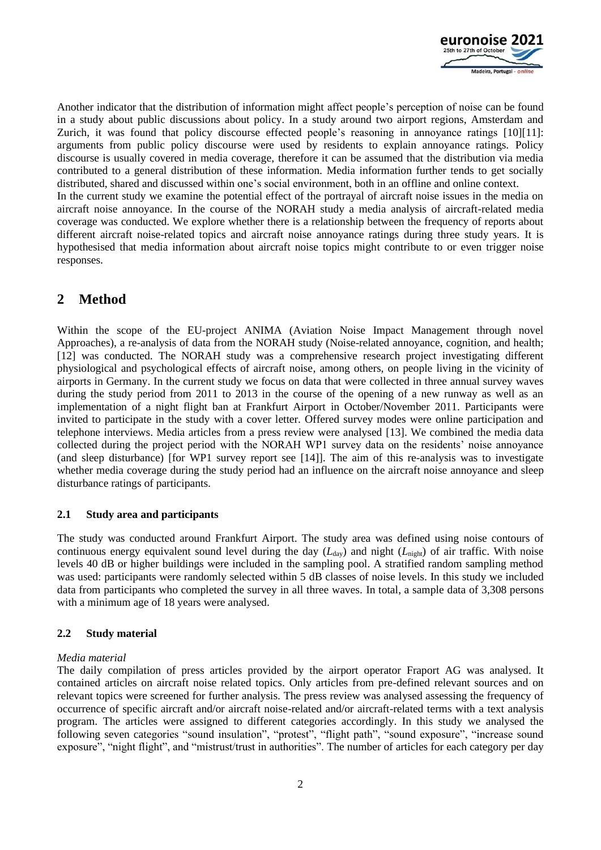

Another indicator that the distribution of information might affect people's perception of noise can be found in a study about public discussions about policy. In a study around two airport regions, Amsterdam and Zurich, it was found that policy discourse effected people's reasoning in annoyance ratings [\[10\]](#page-7-9)[\[11\]:](#page-7-10) arguments from public policy discourse were used by residents to explain annoyance ratings. Policy discourse is usually covered in media coverage, therefore it can be assumed that the distribution via media contributed to a general distribution of these information. Media information further tends to get socially distributed, shared and discussed within one's social environment, both in an offline and online context. In the current study we examine the potential effect of the portrayal of aircraft noise issues in the media on aircraft noise annoyance. In the course of the NORAH study a media analysis of aircraft-related media coverage was conducted. We explore whether there is a relationship between the frequency of reports about different aircraft noise-related topics and aircraft noise annoyance ratings during three study years. It is hypothesised that media information about aircraft noise topics might contribute to or even trigger noise responses.

## **2 Method**

Within the scope of the EU-project ANIMA (Aviation Noise Impact Management through novel Approaches), a re-analysis of data from the NORAH study (Noise-related annoyance, cognition, and health; [\[12\]](#page-8-0) was conducted. The NORAH study was a comprehensive research project investigating different physiological and psychological effects of aircraft noise, among others, on people living in the vicinity of airports in Germany. In the current study we focus on data that were collected in three annual survey waves during the study period from 2011 to 2013 in the course of the opening of a new runway as well as an implementation of a night flight ban at Frankfurt Airport in October/November 2011. Participants were invited to participate in the study with a cover letter. Offered survey modes were online participation and telephone interviews. Media articles from a press review were analysed [\[13\].](#page-8-1) We combined the media data collected during the project period with the NORAH WP1 survey data on the residents' noise annoyance (and sleep disturbance) [for WP1 survey report see [\[14\]\]](#page-8-2). The aim of this re-analysis was to investigate whether media coverage during the study period had an influence on the aircraft noise annoyance and sleep disturbance ratings of participants.

#### **2.1 Study area and participants**

The study was conducted around Frankfurt Airport. The study area was defined using noise contours of continuous energy equivalent sound level during the day  $(L_{\text{day}})$  and night  $(L_{\text{night}})$  of air traffic. With noise levels 40 dB or higher buildings were included in the sampling pool. A stratified random sampling method was used: participants were randomly selected within 5 dB classes of noise levels. In this study we included data from participants who completed the survey in all three waves. In total, a sample data of 3,308 persons with a minimum age of 18 years were analysed.

### **2.2 Study material**

#### *Media material*

The daily compilation of press articles provided by the airport operator Fraport AG was analysed. It contained articles on aircraft noise related topics. Only articles from pre-defined relevant sources and on relevant topics were screened for further analysis. The press review was analysed assessing the frequency of occurrence of specific aircraft and/or aircraft noise-related and/or aircraft-related terms with a text analysis program. The articles were assigned to different categories accordingly. In this study we analysed the following seven categories "sound insulation", "protest", "flight path", "sound exposure", "increase sound exposure", "night flight", and "mistrust/trust in authorities". The number of articles for each category per day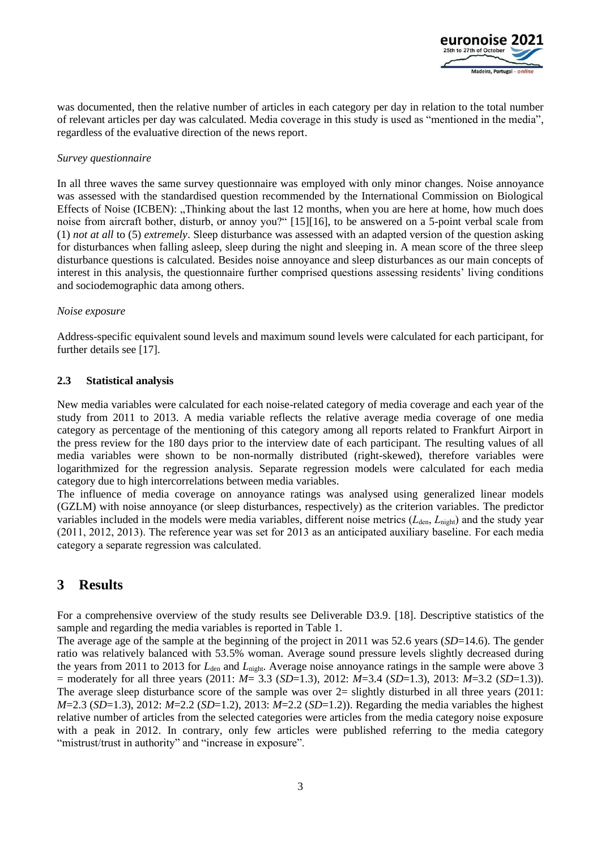

was documented, then the relative number of articles in each category per day in relation to the total number of relevant articles per day was calculated. Media coverage in this study is used as "mentioned in the media", regardless of the evaluative direction of the news report.

#### *Survey questionnaire*

In all three waves the same survey questionnaire was employed with only minor changes. Noise annoyance was assessed with the standardised question recommended by the International Commission on Biological Effects of Noise (ICBEN): "Thinking about the last 12 months, when you are here at home, how much does noise from aircraft bother, disturb, or annoy you?" [\[15\]](#page-8-3)[\[16\],](#page-8-4) to be answered on a 5-point verbal scale from (1) *not at all* to (5) *extremely*. Sleep disturbance was assessed with an adapted version of the question asking for disturbances when falling asleep, sleep during the night and sleeping in. A mean score of the three sleep disturbance questions is calculated. Besides noise annoyance and sleep disturbances as our main concepts of interest in this analysis, the questionnaire further comprised questions assessing residents' living conditions and sociodemographic data among others.

#### *Noise exposure*

Address-specific equivalent sound levels and maximum sound levels were calculated for each participant, for further details see [\[17\].](#page-8-5)

#### **2.3 Statistical analysis**

New media variables were calculated for each noise-related category of media coverage and each year of the study from 2011 to 2013. A media variable reflects the relative average media coverage of one media category as percentage of the mentioning of this category among all reports related to Frankfurt Airport in the press review for the 180 days prior to the interview date of each participant. The resulting values of all media variables were shown to be non-normally distributed (right-skewed), therefore variables were logarithmized for the regression analysis. Separate regression models were calculated for each media category due to high intercorrelations between media variables.

The influence of media coverage on annoyance ratings was analysed using generalized linear models (GZLM) with noise annoyance (or sleep disturbances, respectively) as the criterion variables. The predictor variables included in the models were media variables, different noise metrics ( $L_{den}$ ,  $L_{night}$ ) and the study year (2011, 2012, 2013). The reference year was set for 2013 as an anticipated auxiliary baseline. For each media category a separate regression was calculated.

### **3 Results**

For a comprehensive overview of the study results see Deliverable D3.9. [\[18\].](#page-8-6) Descriptive statistics of the sample and regarding the media variables is reported in [Table 1.](#page-3-0)

The average age of the sample at the beginning of the project in 2011 was 52.6 years (*SD*=14.6). The gender ratio was relatively balanced with 53.5% woman. Average sound pressure levels slightly decreased during the years from 2011 to 2013 for *L*<sub>den</sub> and *L*<sub>night</sub>. Average noise annoyance ratings in the sample were above 3 = moderately for all three years (2011: *M*= 3.3 (*SD*=1.3), 2012: *M*=3.4 (*SD*=1.3), 2013: *M*=3.2 (*SD*=1.3)). The average sleep disturbance score of the sample was over  $2=$  slightly disturbed in all three years (2011: *M*=2.3 (*SD*=1.3), 2012: *M*=2.2 (*SD*=1.2), 2013: *M*=2.2 (*SD*=1.2)). Regarding the media variables the highest relative number of articles from the selected categories were articles from the media category noise exposure with a peak in 2012. In contrary, only few articles were published referring to the media category "mistrust/trust in authority" and "increase in exposure".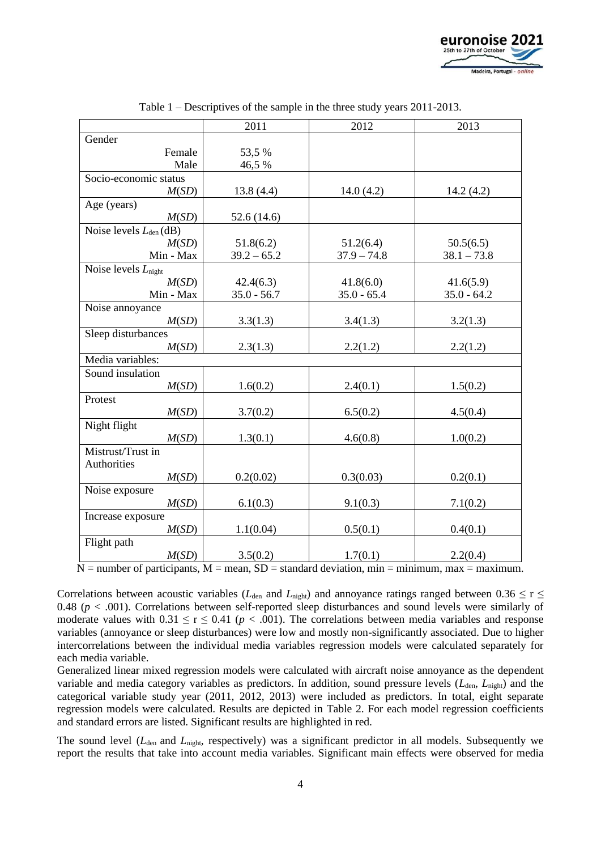

<span id="page-3-0"></span>

|                             | 2011          | 2012          | 2013          |  |
|-----------------------------|---------------|---------------|---------------|--|
| Gender                      |               |               |               |  |
| Female                      | 53,5 %        |               |               |  |
| Male                        | 46,5 %        |               |               |  |
| Socio-economic status       |               |               |               |  |
| M(SD)                       | 13.8(4.4)     | 14.0(4.2)     | 14.2(4.2)     |  |
| Age (years)                 |               |               |               |  |
| M(SD)                       | 52.6 (14.6)   |               |               |  |
| Noise levels $L_{den}$ (dB) |               |               |               |  |
| M(SD)                       | 51.8(6.2)     | 51.2(6.4)     | 50.5(6.5)     |  |
| Min - Max                   | $39.2 - 65.2$ | $37.9 - 74.8$ | $38.1 - 73.8$ |  |
| Noise levels $L_{night}$    |               |               |               |  |
| M(SD)                       | 42.4(6.3)     | 41.8(6.0)     | 41.6(5.9)     |  |
| Min - Max                   | $35.0 - 56.7$ | $35.0 - 65.4$ | $35.0 - 64.2$ |  |
| Noise annoyance             |               |               |               |  |
| M(SD)                       | 3.3(1.3)      | 3.4(1.3)      | 3.2(1.3)      |  |
| Sleep disturbances          |               |               |               |  |
| M(SD)                       | 2.3(1.3)      | 2.2(1.2)      | 2.2(1.2)      |  |
| Media variables:            |               |               |               |  |
| Sound insulation            |               |               |               |  |
| M(SD)                       | 1.6(0.2)      | 2.4(0.1)      | 1.5(0.2)      |  |
| Protest                     |               |               |               |  |
| M(SD)                       | 3.7(0.2)      | 6.5(0.2)      | 4.5(0.4)      |  |
| Night flight                |               |               |               |  |
| M(SD)                       | 1.3(0.1)      | 4.6(0.8)      | 1.0(0.2)      |  |
| Mistrust/Trust in           |               |               |               |  |
| Authorities                 |               |               |               |  |
| M(SD)                       | 0.2(0.02)     | 0.3(0.03)     | 0.2(0.1)      |  |
| Noise exposure              |               |               |               |  |
| M(SD)                       | 6.1(0.3)      | 9.1(0.3)      | 7.1(0.2)      |  |
| Increase exposure           |               |               |               |  |
| M(SD)                       | 1.1(0.04)     | 0.5(0.1)      | 0.4(0.1)      |  |
| Flight path                 |               |               |               |  |
| M(SD)                       | 3.5(0.2)      | 1.7(0.1)      | 2.2(0.4)      |  |

Table 1 – Descriptives of the sample in the three study years 2011-2013.

 $N =$  number of participants,  $M =$  mean,  $SD =$  standard deviation, min = minimum, max = maximum.

Correlations between acoustic variables ( $L_{den}$  and  $L_{ni}$ ) and annoyance ratings ranged between 0.36  $\leq$  r  $\leq$ 0.48 ( $p < .001$ ). Correlations between self-reported sleep disturbances and sound levels were similarly of moderate values with  $0.31 \le r \le 0.41$  ( $p < .001$ ). The correlations between media variables and response variables (annoyance or sleep disturbances) were low and mostly non-significantly associated. Due to higher intercorrelations between the individual media variables regression models were calculated separately for each media variable.

Generalized linear mixed regression models were calculated with aircraft noise annoyance as the dependent variable and media category variables as predictors. In addition, sound pressure levels (*L*den, *L*night) and the categorical variable study year (2011, 2012, 2013) were included as predictors. In total, eight separate regression models were calculated. Results are depicted in [Table 2.](#page-5-0) For each model regression coefficients and standard errors are listed. Significant results are highlighted in red.

The sound level ( $L_{den}$  and  $L_{night}$ , respectively) was a significant predictor in all models. Subsequently we report the results that take into account media variables. Significant main effects were observed for media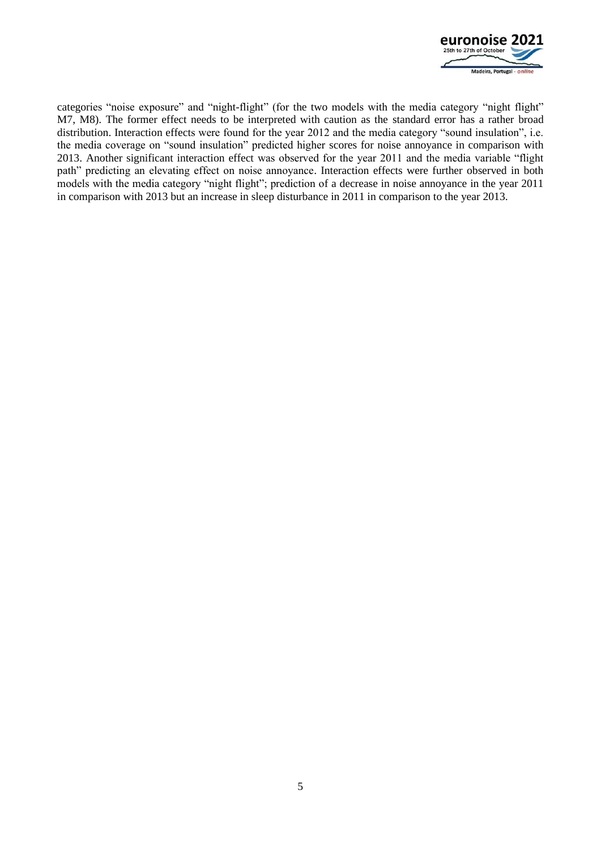

categories "noise exposure" and "night-flight" (for the two models with the media category "night flight" M7, M8). The former effect needs to be interpreted with caution as the standard error has a rather broad distribution. Interaction effects were found for the year 2012 and the media category "sound insulation", i.e. the media coverage on "sound insulation" predicted higher scores for noise annoyance in comparison with 2013. Another significant interaction effect was observed for the year 2011 and the media variable "flight path" predicting an elevating effect on noise annoyance. Interaction effects were further observed in both models with the media category "night flight"; prediction of a decrease in noise annoyance in the year 2011 in comparison with 2013 but an increase in sleep disturbance in 2011 in comparison to the year 2013.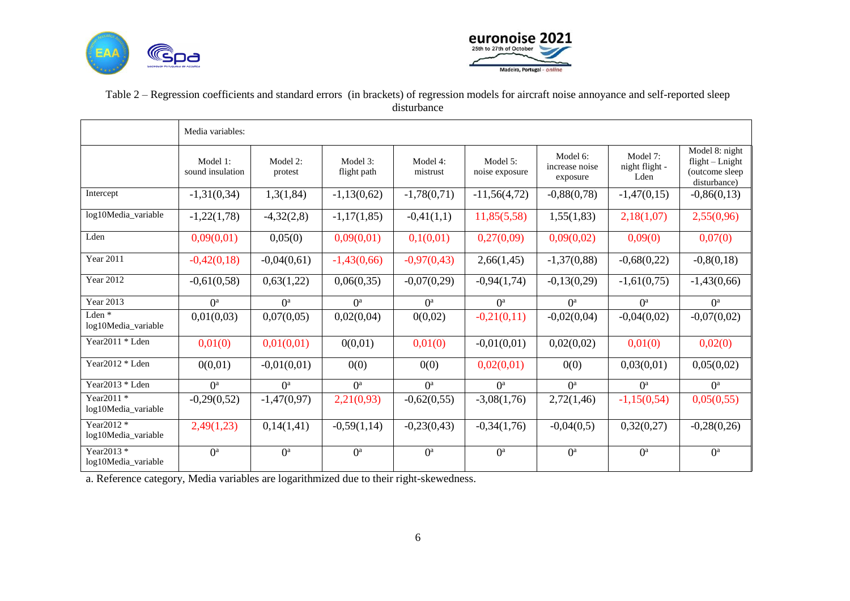



### Table 2 – Regression coefficients and standard errors (in brackets) of regression models for aircraft noise annoyance and self-reported sleep disturbance

|                                   | Media variables:             |                     |                         |                      |                            |                                        |                                    |                                                                       |  |  |
|-----------------------------------|------------------------------|---------------------|-------------------------|----------------------|----------------------------|----------------------------------------|------------------------------------|-----------------------------------------------------------------------|--|--|
|                                   | Model 1:<br>sound insulation | Model 2:<br>protest | Model 3:<br>flight path | Model 4:<br>mistrust | Model 5:<br>noise exposure | Model 6:<br>increase noise<br>exposure | Model 7:<br>night flight -<br>Lden | Model 8: night<br>$flight - Length$<br>(outcome sleep<br>disturbance) |  |  |
| Intercept                         | $-1,31(0,34)$                | 1,3(1,84)           | $-1,13(0,62)$           | $-1,78(0,71)$        | $-11,56(4,72)$             | $-0,88(0,78)$                          | $-1,47(0,15)$                      | $-0,86(0,13)$                                                         |  |  |
| log10Media variable               | $-1,22(1,78)$                | $-4,32(2,8)$        | $-1,17(1,85)$           | $-0,41(1,1)$         | 11,85(5,58)                | 1,55(1,83)                             | 2,18(1,07)                         | 2,55(0,96)                                                            |  |  |
| Lden                              | 0,09(0,01)                   | 0,05(0)             | 0,09(0,01)              | 0,1(0,01)            | 0,27(0,09)                 | 0,09(0,02)                             | 0,09(0)                            | 0,07(0)                                                               |  |  |
| <b>Year 2011</b>                  | $-0,42(0,18)$                | $-0,04(0,61)$       | $-1,43(0,66)$           | $-0,97(0,43)$        | 2,66(1,45)                 | $-1,37(0,88)$                          | $-0,68(0,22)$                      | $-0,8(0,18)$                                                          |  |  |
| <b>Year 2012</b>                  | $-0,61(0,58)$                | 0,63(1,22)          | 0,06(0,35)              | $-0,07(0,29)$        | $-0,94(1,74)$              | $-0,13(0,29)$                          | $-1,61(0,75)$                      | $-1,43(0,66)$                                                         |  |  |
| <b>Year 2013</b>                  | O <sup>a</sup>               | O <sup>a</sup>      | $0^a$                   | O <sup>a</sup>       | O <sup>a</sup>             | $0^a$                                  | O <sup>a</sup>                     | O <sup>a</sup>                                                        |  |  |
| Lden $*$<br>log10Media variable   | 0,01(0,03)                   | 0,07(0,05)          | 0,02(0,04)              | 0(0,02)              | $-0,21(0,11)$              | $-0,02(0,04)$                          | $-0,04(0,02)$                      | $-0,07(0,02)$                                                         |  |  |
| Year2011 $*$ Lden                 | 0,01(0)                      | 0,01(0,01)          | 0(0,01)                 | 0,01(0)              | $-0,01(0,01)$              | 0,02(0,02)                             | 0,01(0)                            | 0,02(0)                                                               |  |  |
| Year2012 * Lden                   | 0(0,01)                      | $-0,01(0,01)$       | 0(0)                    | 0(0)                 | 0,02(0,01)                 | 0(0)                                   | 0,03(0,01)                         | 0,05(0,02)                                                            |  |  |
| Year2013 * Lden                   | O <sup>a</sup>               | O <sup>a</sup>      | $0^a$                   | $0^a$                | O <sup>a</sup>             | $0^a$                                  | O <sup>a</sup>                     | $0^a$                                                                 |  |  |
| Year2011 *<br>log10Media_variable | $-0,29(0,52)$                | $-1,47(0,97)$       | 2,21(0,93)              | $-0,62(0,55)$        | $-3,08(1,76)$              | 2,72(1,46)                             | $-1,15(0,54)$                      | 0,05(0,55)                                                            |  |  |
| Year2012 *<br>log10Media_variable | 2,49(1,23)                   | 0,14(1,41)          | $-0,59(1,14)$           | $-0,23(0,43)$        | $-0,34(1,76)$              | $-0,04(0,5)$                           | 0,32(0,27)                         | $-0,28(0,26)$                                                         |  |  |
| Year2013 *<br>log10Media_variable | O <sup>a</sup>               | $0^a$               | $0^a$                   | $0^a$                | $0^a$                      | $0^a$                                  | $0^a$                              | O <sup>a</sup>                                                        |  |  |

<span id="page-5-0"></span>a. Reference category, Media variables are logarithmized due to their right-skewedness.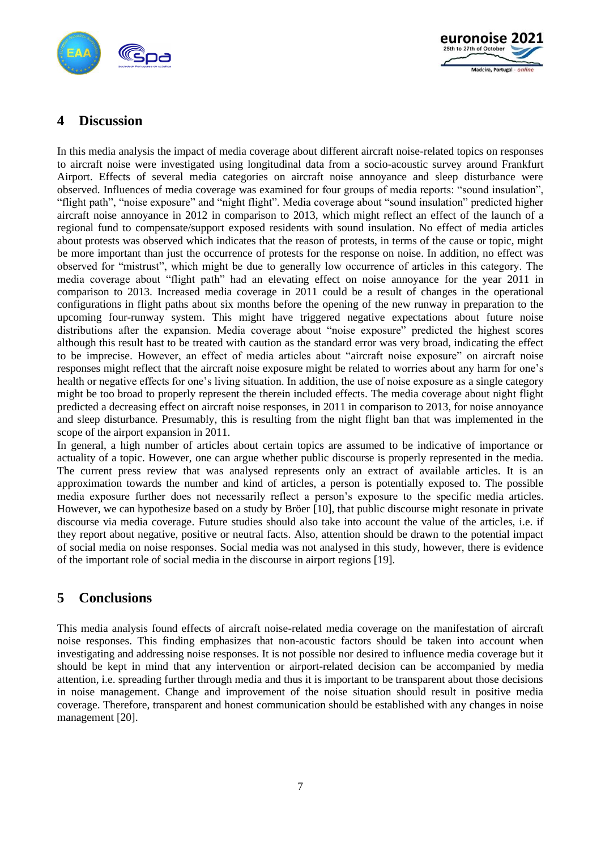



# **4 Discussion**

In this media analysis the impact of media coverage about different aircraft noise-related topics on responses to aircraft noise were investigated using longitudinal data from a socio-acoustic survey around Frankfurt Airport. Effects of several media categories on aircraft noise annoyance and sleep disturbance were observed. Influences of media coverage was examined for four groups of media reports: "sound insulation", "flight path", "noise exposure" and "night flight". Media coverage about "sound insulation" predicted higher aircraft noise annoyance in 2012 in comparison to 2013, which might reflect an effect of the launch of a regional fund to compensate/support exposed residents with sound insulation. No effect of media articles about protests was observed which indicates that the reason of protests, in terms of the cause or topic, might be more important than just the occurrence of protests for the response on noise. In addition, no effect was observed for "mistrust", which might be due to generally low occurrence of articles in this category. The media coverage about "flight path" had an elevating effect on noise annoyance for the year 2011 in comparison to 2013. Increased media coverage in 2011 could be a result of changes in the operational configurations in flight paths about six months before the opening of the new runway in preparation to the upcoming four-runway system. This might have triggered negative expectations about future noise distributions after the expansion. Media coverage about "noise exposure" predicted the highest scores although this result hast to be treated with caution as the standard error was very broad, indicating the effect to be imprecise. However, an effect of media articles about "aircraft noise exposure" on aircraft noise responses might reflect that the aircraft noise exposure might be related to worries about any harm for one's health or negative effects for one's living situation. In addition, the use of noise exposure as a single category might be too broad to properly represent the therein included effects. The media coverage about night flight predicted a decreasing effect on aircraft noise responses, in 2011 in comparison to 2013, for noise annoyance and sleep disturbance. Presumably, this is resulting from the night flight ban that was implemented in the scope of the airport expansion in 2011.

In general, a high number of articles about certain topics are assumed to be indicative of importance or actuality of a topic. However, one can argue whether public discourse is properly represented in the media. The current press review that was analysed represents only an extract of available articles. It is an approximation towards the number and kind of articles, a person is potentially exposed to. The possible media exposure further does not necessarily reflect a person's exposure to the specific media articles. However, we can hypothesize based on a study by Bröer [\[10\],](#page-7-9) that public discourse might resonate in private discourse via media coverage. Future studies should also take into account the value of the articles, i.e. if they report about negative, positive or neutral facts. Also, attention should be drawn to the potential impact of social media on noise responses. Social media was not analysed in this study, however, there is evidence of the important role of social media in the discourse in airport regions [\[19\].](#page-8-7)

# **5 Conclusions**

This media analysis found effects of aircraft noise-related media coverage on the manifestation of aircraft noise responses. This finding emphasizes that non-acoustic factors should be taken into account when investigating and addressing noise responses. It is not possible nor desired to influence media coverage but it should be kept in mind that any intervention or airport-related decision can be accompanied by media attention, i.e. spreading further through media and thus it is important to be transparent about those decisions in noise management. Change and improvement of the noise situation should result in positive media coverage. Therefore, transparent and honest communication should be established with any changes in noise management [\[20\].](#page-8-8)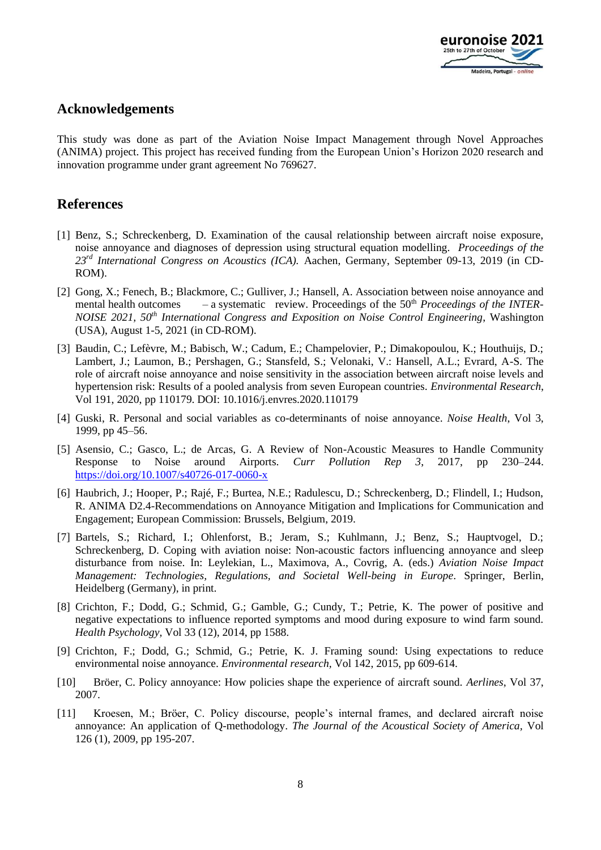

### **Acknowledgements**

This study was done as part of the Aviation Noise Impact Management through Novel Approaches (ANIMA) project. This project has received funding from the European Union's Horizon 2020 research and innovation programme under grant agreement No 769627.

### **References**

- <span id="page-7-0"></span>[1] Benz, S.; Schreckenberg, D. Examination of the causal relationship between aircraft noise exposure, noise annoyance and diagnoses of depression using structural equation modelling. *Proceedings of the 23rd International Congress on Acoustics (ICA).* Aachen, Germany, September 09-13, 2019 (in CD-ROM).
- <span id="page-7-1"></span>[2] Gong, X.; Fenech, B.; Blackmore, C.; Gulliver, J.; Hansell, A. Association between noise annoyance and mental health outcomes – a systematic review. Proceedings of the 50<sup>th</sup> *Proceedings of the INTER-NOISE 2021, 50th International Congress and Exposition on Noise Control Engineering*, Washington (USA), August 1-5, 2021 (in CD-ROM).
- <span id="page-7-2"></span>[3] Baudin, C.; Lefèvre, M.; Babisch, W.; Cadum, E.; Champelovier, P.; Dimakopoulou, K.; Houthuijs, D.; Lambert, J.; Laumon, B.; Pershagen, G.; Stansfeld, S.; Velonaki, V.: Hansell, A.L.; Evrard, A-S. The role of aircraft noise annoyance and noise sensitivity in the association between aircraft noise levels and hypertension risk: Results of a pooled analysis from seven European countries. *Environmental Research*, Vol 191, 2020, pp 110179. DOI: 10.1016/j.envres.2020.110179
- <span id="page-7-3"></span>[4] Guski, R. Personal and social variables as co-determinants of noise annoyance. *Noise Health*, Vol 3, 1999, pp 45–56.
- <span id="page-7-4"></span>[5] Asensio, C.; Gasco, L.; de Arcas, G. A Review of Non-Acoustic Measures to Handle Community Response to Noise around Airports. *Curr Pollution Rep 3*, 2017, pp 230–244. <https://doi.org/10.1007/s40726-017-0060-x>
- <span id="page-7-5"></span>[6] Haubrich, J.; Hooper, P.; Rajé, F.; Burtea, N.E.; Radulescu, D.; Schreckenberg, D.; Flindell, I.; Hudson, R. ANIMA D2.4-Recommendations on Annoyance Mitigation and Implications for Communication and Engagement; European Commission: Brussels, Belgium, 2019.
- <span id="page-7-6"></span>[7] Bartels, S.; Richard, I.; Ohlenforst, B.; Jeram, S.; Kuhlmann, J.; Benz, S.; Hauptvogel, D.; Schreckenberg, D. Coping with aviation noise: Non-acoustic factors influencing annoyance and sleep disturbance from noise. In: Leylekian, L., Maximova, A., Covrig, A. (eds.) *Aviation Noise Impact Management: Technologies, Regulations, and Societal Well-being in Europe*. Springer, Berlin, Heidelberg (Germany), in print.
- <span id="page-7-7"></span>[8] Crichton, F.; Dodd, G.; Schmid, G.; Gamble, G.; Cundy, T.; Petrie, K. The power of positive and negative expectations to influence reported symptoms and mood during exposure to wind farm sound. *Health Psychology,* Vol 33 (12), 2014, pp 1588.
- <span id="page-7-8"></span>[9] Crichton, F.; Dodd, G.; Schmid, G.; Petrie, K. J. Framing sound: Using expectations to reduce environmental noise annoyance. *Environmental research,* Vol 142, 2015, pp 609-614.
- <span id="page-7-9"></span>[10] Bröer, C. Policy annoyance: How policies shape the experience of aircraft sound. *Aerlines*, Vol 37, 2007.
- <span id="page-7-10"></span>[11] Kroesen, M.; Bröer, C. Policy discourse, people's internal frames, and declared aircraft noise annoyance: An application of Q-methodology. *The Journal of the Acoustical Society of America,* Vol 126 (1), 2009, pp 195-207.